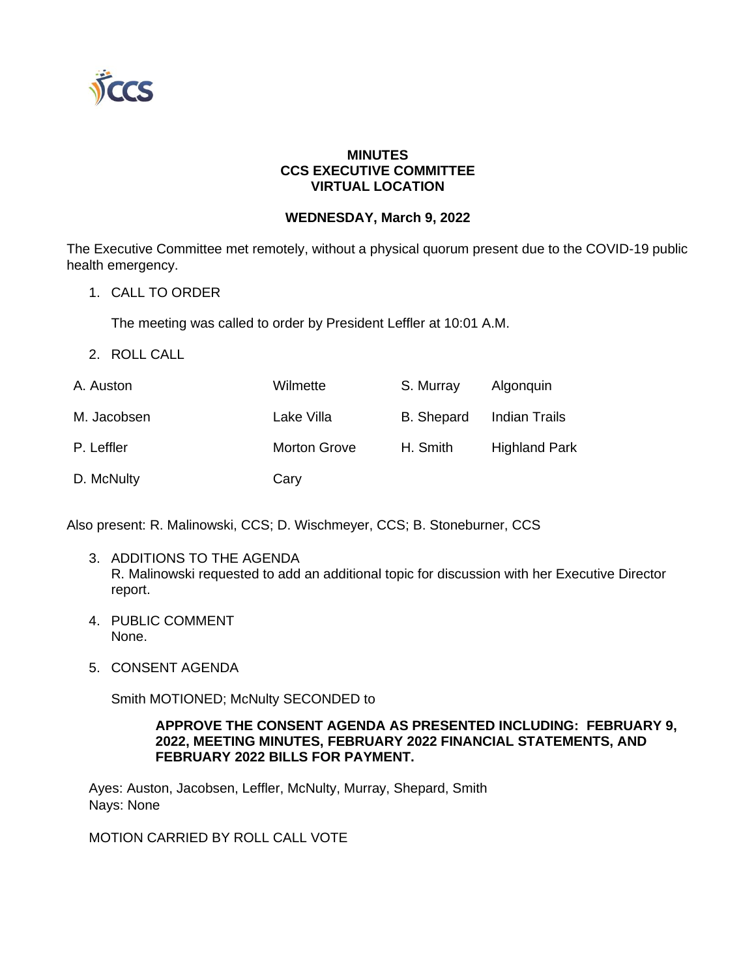

## **MINUTES CCS EXECUTIVE COMMITTEE VIRTUAL LOCATION**

## **WEDNESDAY, March 9, 2022**

The Executive Committee met remotely, without a physical quorum present due to the COVID-19 public health emergency.

1. CALL TO ORDER

The meeting was called to order by President Leffler at 10:01 A.M.

2. ROLL CALL

| A. Auston   | Wilmette            | S. Murray         | Algonquin            |
|-------------|---------------------|-------------------|----------------------|
| M. Jacobsen | Lake Villa          | <b>B.</b> Shepard | <b>Indian Trails</b> |
| P. Leffler  | <b>Morton Grove</b> | H. Smith          | <b>Highland Park</b> |
| D. McNulty  | Cary                |                   |                      |

Also present: R. Malinowski, CCS; D. Wischmeyer, CCS; B. Stoneburner, CCS

- 3. ADDITIONS TO THE AGENDA R. Malinowski requested to add an additional topic for discussion with her Executive Director report.
- 4. PUBLIC COMMENT None.
- 5. CONSENT AGENDA

Smith MOTIONED; McNulty SECONDED to

#### **APPROVE THE CONSENT AGENDA AS PRESENTED INCLUDING: FEBRUARY 9, 2022, MEETING MINUTES, FEBRUARY 2022 FINANCIAL STATEMENTS, AND FEBRUARY 2022 BILLS FOR PAYMENT.**

Ayes: Auston, Jacobsen, Leffler, McNulty, Murray, Shepard, Smith Nays: None

## MOTION CARRIED BY ROLL CALL VOTE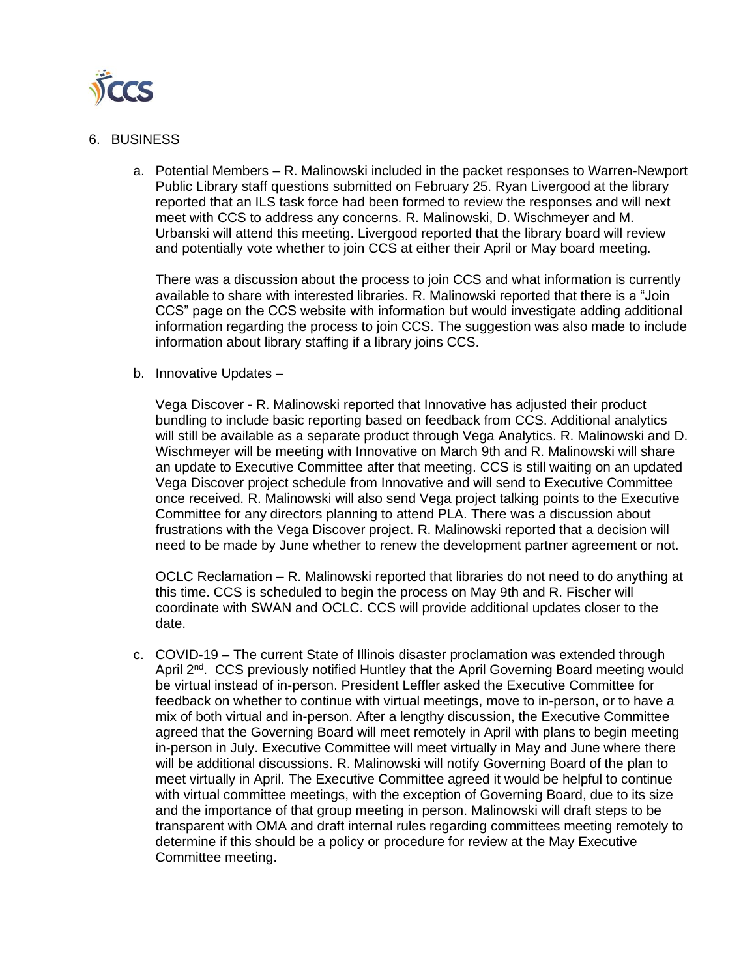

#### 6. BUSINESS

a. Potential Members – R. Malinowski included in the packet responses to Warren-Newport Public Library staff questions submitted on February 25. Ryan Livergood at the library reported that an ILS task force had been formed to review the responses and will next meet with CCS to address any concerns. R. Malinowski, D. Wischmeyer and M. Urbanski will attend this meeting. Livergood reported that the library board will review and potentially vote whether to join CCS at either their April or May board meeting.

There was a discussion about the process to join CCS and what information is currently available to share with interested libraries. R. Malinowski reported that there is a "Join CCS" page on the CCS website with information but would investigate adding additional information regarding the process to join CCS. The suggestion was also made to include information about library staffing if a library joins CCS.

b. Innovative Updates –

Vega Discover - R. Malinowski reported that Innovative has adjusted their product bundling to include basic reporting based on feedback from CCS. Additional analytics will still be available as a separate product through Vega Analytics. R. Malinowski and D. Wischmeyer will be meeting with Innovative on March 9th and R. Malinowski will share an update to Executive Committee after that meeting. CCS is still waiting on an updated Vega Discover project schedule from Innovative and will send to Executive Committee once received. R. Malinowski will also send Vega project talking points to the Executive Committee for any directors planning to attend PLA. There was a discussion about frustrations with the Vega Discover project. R. Malinowski reported that a decision will need to be made by June whether to renew the development partner agreement or not.

OCLC Reclamation – R. Malinowski reported that libraries do not need to do anything at this time. CCS is scheduled to begin the process on May 9th and R. Fischer will coordinate with SWAN and OCLC. CCS will provide additional updates closer to the date.

c. COVID-19 – The current State of Illinois disaster proclamation was extended through April 2<sup>nd</sup>. CCS previously notified Huntley that the April Governing Board meeting would be virtual instead of in-person. President Leffler asked the Executive Committee for feedback on whether to continue with virtual meetings, move to in-person, or to have a mix of both virtual and in-person. After a lengthy discussion, the Executive Committee agreed that the Governing Board will meet remotely in April with plans to begin meeting in-person in July. Executive Committee will meet virtually in May and June where there will be additional discussions. R. Malinowski will notify Governing Board of the plan to meet virtually in April. The Executive Committee agreed it would be helpful to continue with virtual committee meetings, with the exception of Governing Board, due to its size and the importance of that group meeting in person. Malinowski will draft steps to be transparent with OMA and draft internal rules regarding committees meeting remotely to determine if this should be a policy or procedure for review at the May Executive Committee meeting.